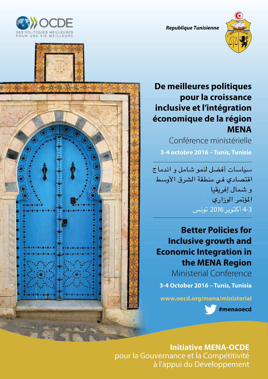*Republique* **T***unisie***nne**









# **De meilleures politiques pour la croissance inclusive et l'intégration économique de la région MENA**

Conférence ministérielle **3-4 octobre 2016 – Tunis, Tunisie**

سياسات أفضل لنمو شامل و اندماج اقتصادي في منطقة الشرق الأوسط و شمال إفريقيا المؤتمر الوزاري 4-3 أكتوبر 2016 تونس

# **Better Policies for Inclusive growth and Economic Integration in the MENA Region**

Ministerial Conference

**3-4 October 2016 – Tunis, Tunisia**

**www.oecd.org/mena/ministerial**

 **#menaoecd**

## **Initiative MENA-OCDE** pour la Gouvernance et la Compétitivité

à l'appui du Développement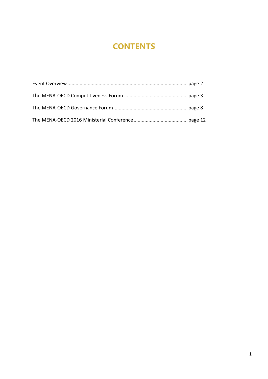# **CONTENTS**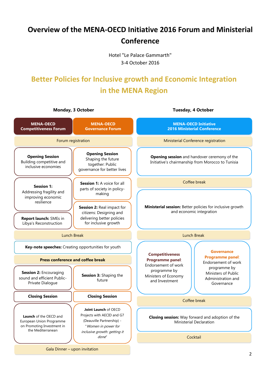# **Overview of the MENA-OECD Initiative 2016 Forum and Ministerial Conference**

Hotel "Le Palace Gammarth" 3-4 October 2016

# **Better Policies for Inclusive growth and Economic Integration in the MENA Region**

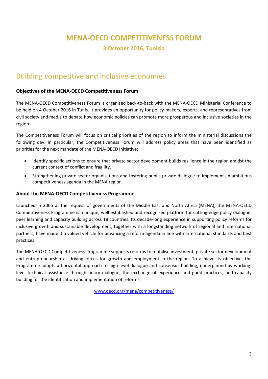## **MENA-OECD COMPETITIVENESS FORUM**

**3 October 2016, Tunisia**

## Building competitive and inclusive economies

## **Objectives of the MENA-OECD Competitiveness Forum**

The MENA-OECD Competitiveness Forum is organised back-to-back with the MENA-OECD Ministerial Conference to be held on 4 October 2016 in Tunis. It provides an opportunity for policy-makers, experts, and representatives from civil society and media to debate how economic policies can promote more prosperous and inclusive societies in the region.

The Competitiveness Forum will focus on critical priorities of the region to inform the ministerial discussions the following day. In particular, the Competitiveness Forum will address policy areas that have been identified as priorities for the next mandate of the MENA-OECD Initiative:

- Identify specific actions to ensure that private sector development builds resilience in the region amidst the current context of conflict and fragility.
- Strengthening private sector organisations and fostering public-private dialogue to implement an ambitious competitiveness agenda in the MENA region.

## **About the MENA-OECD Competitiveness Programme**

Launched in 2005 at the request of governments of the Middle East and North Africa (MENA), the MENA-OECD Competitiveness Programme is a unique, well established and recognised platform for cutting-edge policy dialogue, peer learning and capacity building across 18 countries. Its decade-long experience in supporting policy reforms for inclusive growth and sustainable development, together with a longstanding network of regional and international partners, have made it a valued vehicle for advancing a reform agenda in line with international standards and best practices.

The MENA-OECD Competitiveness Programme supports reforms to mobilise investment, private sector development and entrepreneurship as driving forces for growth and employment in the region. To achieve its objective, the Programme adopts a horizontal approach to high-level dialogue and consensus building, underpinned by workinglevel technical assistance through policy dialogue, the exchange of experience and good practices, and capacity building for the identification and implementation of reforms.

www.oecd.org/mena/competitiveness/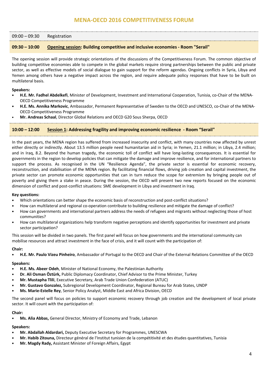## **MENA-OECD 2016 COMPETITIVENESS FORUM**

## 09:00 – 09:30 Registration

## **09:30 – 10:00 Opening session: Building competitive and inclusive economies - Room "Serail"**

The opening session will provide strategic orientations of the discussions of the Competitiveness Forum. The common objective of building competitive economies able to compete in the global markets require strong partnerships between the public and private sector, as well as effective models of social dialogue to gain support for the reform agendas. Ongoing conflicts in Syria, Libya and Yemen among others have a negative impact across the region, and require adequate policy responses that have to be built on multilateral basis.

#### **Speakers:**

- **H.E. Mr. Fadhel Abdelkefi**, Minister of Development, Investment and International Cooperation, Tunisia, co-Chair of the MENA-OECD Competitiveness Programme
- **H.E. Ms. Annika Markovic**, Ambassador, Permanent Representative of Sweden to the OECD and UNESCO, co-Chair of the MENA-OECD Competitiveness Programme
- **Mr. Andreas Schaal**, Director Global Relations and OECD G20 Sous Sherpa, OECD

## **10:00 – 12:00 Session 1: Addressing fragility and improving economic resilience - Room "Serail"**

In the past years, the MENA region has suffered from increased insecurity and conflict, with many countries now affected by unrest either directly or indirectly. About 13.5 million people need humanitarian aid in Syria; in Yemen, 21.1 million; in Libya, 2.4 million; and in Iraq, 8.2. Beyond the human tragedy, the economic toll of conflict will have long-lasting consequences. It is essential for governments in the region to develop policies that can mitigate the damage and improve resilience, and for international partners to support the process. As recognised in the UN "Resilience Agenda", the private sector is essential for economic recovery, reconstruction, and stabilisation of the MENA region. By facilitating financial flows, driving job creation and capital investment, the private sector can promote economic opportunities that can in turn reduce the scope for extremism by bringing people out of poverty and giving them a stake in peace. During the session, the OECD will present two new reports focused on the economic dimension of conflict and post-conflict situations: SME development in Libya and investment in Iraq.

#### **Key questions:**

- Which orientations can better shape the economic basis of reconstruction and post-conflict situations?
- How can multilateral and regional co-operation contribute to building resilience and mitigate the damage of conflict?
- How can governments and international partners address the needs of refugees and migrants without neglecting those of host communities?
- How can multilateral organizations help transform negative perceptions and identify opportunities for investment and private sector participation?

This session will be divided in two panels. The first panel will focus on how governments and the international community can mobilise resources and attract investment in the face of crisis, and it will count with the participation of:

## **Chair:**

• **H.E. Mr. Paulo Vizeu Pinheiro**, Ambassador of Portugal to the OECD and Chair of the External Relations Committee of the OECD

#### **Speakers:**

- **H.E. Ms. Abeer Odeh**, Minister of National Economy, the Palestinian Authority
- **Dr. Ali Osman Öztürk,** Public Diplomacy Coordinator, Chief Advisor to the Prime Minister, Turkey
- **Mr. Mustapha Tlili**, Executive Secretary, Arab Trade Union Confederation (ATUC)
- **Mr. Gustavo Gonzalez,** Subregional Development Coordinator, Regional Bureau for Arab States, UNDP
- **Ms. Marie-Estelle Rey**, Senior Policy Analyst, Middle East and Africa Division, OECD

The second panel will focus on policies to support economic recovery through job creation and the development of local private sector. It will count with the participation of:

## **Chair:**

• **Ms. Alia Abbas,** General Director, Ministry of Economy and Trade, Lebanon

## **Speakers:**

- **Mr. Abdallah Aldardari,** Deputy Executive Secretary for Programmes, UNESCWA
- **Mr. Habib Zitouna,** Directeur général de l'Institut tunisien de la compétitivité et des études quantitatives, Tunisia
- **Mr. Magdy Rady,** Assistant Minister of Foreign Affairs, Egypt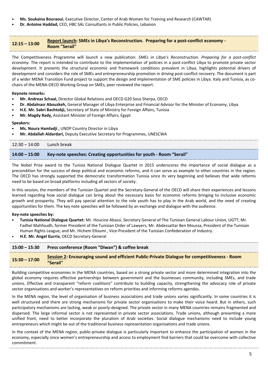- **Ms. Soukaina Bouraoui**, Executive Director, Center of Arab Women for Training and Research (CAWTAR)
- **Dr. Antoine Haddad,** CEO, HBC SAL Consultants in Public Policies, Lebanon

**12:15 – 13:00 Report launch: SMEs in Libya's Reconstruction. Preparing for a post-conflict economy - Room "Serail"**

The Competitiveness Programme will launch a new publication: *SMEs in Libya's Reconstruction. Preparing for a post-conflict economy*. The report is intended to contribute to the implementation of policies in a post-conflict Libya to promote private sector development. It presents the structural economic and framework conditions prevalent in Libya, highlights potential drivers of development and considers the role of SMEs and entrepreneurship promotion in driving post-conflict recovery. The document is part of a wider MENA Transition Fund project to support the design and implementation of SME policies in Libya. Italy and Tunisia, as cochairs of the MENA-OECD Working Group on SMEs, peer reviewed the report.

## **Keynote remarks:**

- **Mr. Andreas Schaal,** Director Global Relations and OECD G20 Sous Sherpa, OECD
- **Dr. Abdalnasr Abouzkeh,** General Manager of Libya Enterprise and Financial Advisor for the Minister of Economy, Libya
- **H.E. Mr. Sabri Bachtobji,** Secretary of State of Ministry for Foreign Affairs, Tunisia
- **Mr. Magdy Rady,** Assistant Minister of Foreign Affairs, Egypt

## **Speakers:**

- **Ms. Noura Hamladji ,** UNDP Country Director in Libya
- **Mr. Abdallah Aldardari,** Deputy Executive Secretary for Programmes, UNESCWA

| $12:30 - 14:00$ Lunch break |                                                                     |
|-----------------------------|---------------------------------------------------------------------|
| $14:00 - 15:00$             | Key-note speeches: Creating opportunities for youth - Room "Serail" |

The Nobel Prize award to the Tunisia National Dialogue Quartet in 2015 underscores the importance of social dialogue as a precondition for the success of deep political and economic reforms, and it can serve as example to other countries in the region. The OECD has strongly supported the democratic transformation Tunisia since its very beginning and believes that wide reforms need to be based on broad platforms including all sectors of society.

In this session, the members of the Tunisian Quartet and the Secretary-General of the OECD will share their experiences and lessons learned regarding how social dialogue can bring about the necessary basis for economic reforms bringing to inclusive economic growth and prosperity. They will pay special attention to the role youth has to play in the Arab world, and the need of creating opportunities for them. The key note speeches will be followed by an exchange and dialogue with the audience.

## **Key-note speeches by:**

- **Tunisia National Dialogue Quartet**: Mr. Houcine Abassi, Secretary General of The Tunisian General Labour Union, UGTT; Mr. Fadhel Mahfoudh, former President of the Tunisian Order of Lawyers; Mr. Abdessattar Ben Moussa, President of the Tunisian Human Rights League; and Mr. Hichem Elloumi , Vice-President of the Tunisian Confederation of Industry.
- **H.E. Mr. Angel Gurría**, OECD Secretary-General

| $15:00 - 15:30$ | Press conference (Room "Diwan") & coffee break                                                            |
|-----------------|-----------------------------------------------------------------------------------------------------------|
| $15:30 - 17:00$ | Session 2: Encouraging sound and efficient Public-Private Dialogue for competitiveness - Room<br>"Serail" |

Building competitive economies in the MENA countries, based on a strong private sector and more determined integration into the global economy requires effective partnerships between government and the businesses community, including SMEs, and trade unions. Effective and transparent "reform coalitions" contribute to building capacity, strengthening the advocacy role of private sector organisations and worker's representatives on reform priorities and informing reforms agendas.

In the MENA region, the level of organisation of business associations and trade unions varies significantly. In some countries it is well structured and there are strong mechanisms for private sector organisations to make their voice heard. But in others, such participatory mechanisms are lacking, weak or poorly-designed. The private sector in many MENA countries remains fragmented and dispersed. The large informal sector is not represented in private sector associations. Trade unions, although presenting a more unified front, need to better incorporate the pluralism of Arab societies. Social dialogue mechanisms need to include young entrepreneurs which might be out of the traditional business representation organisations and trade unions.

In the context of the MENA region, public-private dialogue is particularly important to enhance the participation of women in the economy, especially since women's entrepreneurship and access to employment find barriers that could be overcome with collective commitment.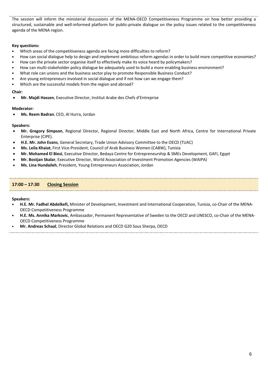The session will inform the ministerial discussions of the MENA-OECD Competitiveness Programme on how better providing a structured, sustainable and well-informed platform for public-private dialogue on the policy issues related to the competitiveness agenda of the MENA region.

## **Key questions:**

- Which areas of the competitiveness agenda are facing more difficulties to reform?
- How can social dialogue help to design and implement ambitious reform agendas in order to build more competitive economies?
- How can the private sector organise itself to effectively make its voice heard by policymakers?
- How can multi-stakeholder policy dialogue be adequately used to build a more enabling business environment?
- What role can unions and the business sector play to promote Responsible Business Conduct?
- Are young entrepreneurs involved in social dialogue and if not how can we engage them?
- Which are the successful models from the region and abroad?

## **Chair**:

• **Mr. Majdi Hassen**, Executive Director, Institut Arabe des Chefs d'Entreprise

## **Moderator:**

• **Ms. Reem Badran**, CEO, Al Hurra, Jordan

## **Speakers:**

- **Mr. Gregory Simpson**, Regional Director, Regional Director, Middle East and North Africa, Centre for International Private Enterprise (CIPE).
- **H.E. Mr. John Evans**, General Secretary, Trade Union Advisory Committee to the OECD (TUAC)
- **Ms. Leila Khaiat**, First Vice-President, Council of Arab Business Women (CABW), Tunisia
- **Mr. Mohamed El Biesi**, Executive Director, Bedaya Centre for Entrepreneurship & SMEs Development, GAFI, Egypt
- **Mr. Bostjan Skalar**, Executive Director, World Association of Investment Promotion Agencies (WAIPA)
- **Ms. Lina Hundaileh**, President, Young Entrepreneurs Association, Jordan

## **17:00 – 17:30 Closing Session**

**Speakers:** 

- **H.E. Mr. Fadhel Abdelkefi,** Minister of Development, Investment and International Cooperation, Tunisia, co-Chair of the MENA-OECD Competitiveness Programme
- **H.E. Ms. Annika Markovic**, Ambassador, Permanent Representative of Sweden to the OECD and UNESCO, co-Chair of the MENA-OECD Competitiveness Programme
- **Mr. Andreas Schaal**, Director Global Relations and OECD G20 Sous Sherpa, OECD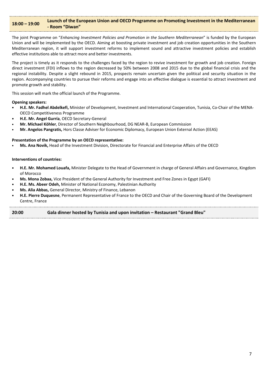## **18:00 – 19:00 Launch of the European Union and OECD Programme on Promoting Investment in the Mediterranean - Room "Diwan"**

The joint Programme on "*Enhancing Investment Policies and Promotion in the Southern Mediterranean*" is funded by the European Union and will be implemented by the OECD. Aiming at boosting private investment and job creation opportunities in the Southern Mediterranean region, it will support investment reforms to implement sound and attractive investment policies and establish effective institutions able to attract more and better investments.

The project is timely as it responds to the challenges faced by the region to revive investment for growth and job creation. Foreign direct investment (FDI) inflows to the region decreased by 50% between 2008 and 2015 due to the global financial crisis and the regional instability. Despite a slight rebound in 2015, prospects remain uncertain given the political and security situation in the region. Accompanying countries to pursue their reforms and engage into an effective dialogue is essential to attract investment and promote growth and stability.

This session will mark the official launch of the Programme.

**Opening speakers:**

- **H.E. Mr. Fadhel Abdelkefi,** Minister of Development, Investment and International Cooperation, Tunisia, Co-Chair of the MENA-OECD Competitiveness Programme
- **H.E. Mr. Angel Gurría**, OECD Secretary-General
- **Mr. Michael Köhler**, Director of Southern Neighbourhood, DG NEAR-B, European Commission
- **Mr. Angelos Pangratis,** Hors Classe Adviser for Economic Diplomacy, European Union External Action (EEAS)

## **Presentation of the Programme by an OECD representative:**

• **Ms. Ana Novik,** Head of the Investment Division, Directorate for Financial and Enterprise Affairs of the OECD

#### **Interventions of countries:**

- **H.E. Mr. Mohamed Louafa,** Minister Delegate to the Head of Government in charge of General Affairs and Governance, Kingdom of Morocco
- **Ms. Mona Zobaa,** Vice President of the General Authority for Investment and Free Zones in Egypt (GAFI)
- **H.E. Ms. Abeer Odeh,** Minister of National Economy, Palestinian Authority
- **Ms. Alia Abbas,** General Director, Ministry of Finance, Lebanon
- **H.E. Pierre Duquesne**, Permanent Representative of France to the OECD and Chair of the Governing Board of the Development Centre, France

## **20:00 Gala dinner hosted by Tunisia and upon invitation – Restaurant "Grand Bleu"**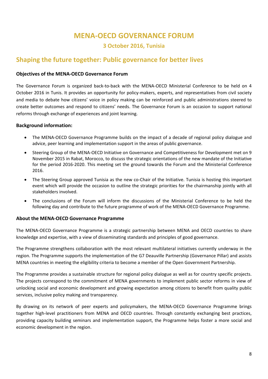## **MENA-OECD GOVERNANCE FORUM**

## **3 October 2016, Tunisia**

## **Shaping the future together: Public governance for better lives**

## **Objectives of the MENA-OECD Governance Forum**

The Governance Forum is organized back-to-back with the MENA-OECD Ministerial Conference to be held on 4 October 2016 in Tunis. It provides an opportunity for policy-makers, experts, and representatives from civil society and media to debate how citizens' voice in policy making can be reinforced and public administrations steered to create better outcomes and respond to citizens' needs. The Governance Forum is an occasion to support national reforms through exchange of experiences and joint learning.

## **Background information:**

- The MENA-OECD Governance Programme builds on the impact of a decade of regional policy dialogue and advice, peer learning and implementation support in the areas of public governance.
- Steering Group of the MENA-OECD Initiative on Governance and Competitiveness for Development met on 9 November 2015 in Rabat, Morocco, to discuss the strategic orientations of the new mandate of the Initiative for the period 2016-2020. This meeting set the ground towards the Forum and the Ministerial Conference 2016.
- The Steering Group approved Tunisia as the new co-Chair of the Initiative. Tunisia is hosting this important event which will provide the occasion to outline the strategic priorities for the chairmanship jointly with all stakeholders involved.
- The conclusions of the Forum will inform the discussions of the Ministerial Conference to be held the following day and contribute to the future programme of work of the MENA-OECD Governance Programme.

## **About the MENA-OECD Governance Programme**

The MENA-OECD Governance Programme is a strategic partnership between MENA and OECD countries to share knowledge and expertise, with a view of disseminating standards and principles of good governance.

The Programme strengthens collaboration with the most relevant multilateral initiatives currently underway in the region. The Programme supports the implementation of the G7 Deauville Partnership (Governance Pillar) and assists MENA countries in meeting the eligibility criteria to become a member of the Open Government Partnership.

The Programme provides a sustainable structure for regional policy dialogue as well as for country specific projects. The projects correspond to the commitment of MENA governments to implement public sector reforms in view of unlocking social and economic development and growing expectation among citizens to benefit from quality public services, inclusive policy making and transparency.

By drawing on its network of peer experts and policymakers, the MENA-OECD Governance Programme brings together high-level practitioners from MENA and OECD countries. Through constantly exchanging best practices, providing capacity building seminars and implementation support, the Programme helps foster a more social and economic development in the region.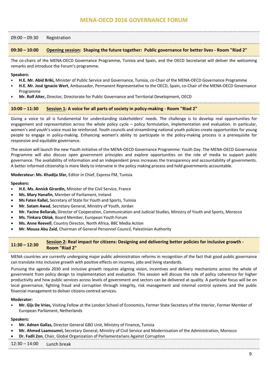## **MENA-OECD 2016 GOVERNANCE FORUM**

#### 09:00 – 09:30 Registration

#### **09:30 – 10:00 Opening session: Shaping the future together: Public governance for better lives - Room "Riad 2"**

The co-chairs of the MENA-OECD Governance Programme, Tunisia and Spain, and the OECD Secretariat will deliver the welcoming remarks and introduce the Forum's programme.

#### **Speakers:**

- **H.E. Mr. Abid Briki,** Minister of Public Service and Governance, Tunisia, co-Chair of the MENA-OECD Governance Programme
- **H.E. Mr. José Ignacio Wert**, Ambassador, Permanent Representative to the OECD, Spain, co-Chair of the MENA-OECD Governance Programme
- **Mr. Rolf Alter,** Director, Directorate for Public Governance and Territorial Development, OECD

#### **10:00 – 11:30 Session 1: A voice for all parts of society in policy-making - Room "Riad 2"**

Giving a voice to all is fundamental for understanding stakeholders' needs. The challenge is to develop real opportunities for engagement and representation across the whole policy cycle – policy formulation, implementation and evaluation. In particular, women's and youth's voice must be reinforced. Youth councils and streamlining national youth policies create opportunities for young people to engage in policy-making. Enhancing women's ability to participate in the policy-making process is a prerequisite for responsive and equitable governance.

The session will launch the new Youth initiative of the MENA-OECD Governance Programme: Youth Day. The MENA-OECD Governance Programme will also discuss open government principles and explore opportunities on the role of media to support public governance. The availability of information and an independent press increases the transparency and accountability of governments. A better informed citizenship is more likely to intervene in the policy making process and hold governments accountable.

#### **Moderateur: Ms. Khadija Sfar,** Editor in Chief, Express FM, Tunisia

#### **Speakers:**

- **H.E. Ms. Annick Girardin,** Minister of the Civil Service, France
- **Ms. Mary Hanafin**, Member of Parliament, Ireland
- **Ms Faten Kallel,** Secretary of State for Youth and Sports, Tunisia
- **Mr. Satam Awad**, Secretary General, Ministry of Youth, Jordan
- **Mr. Yacine Bellarab,** Director of Cooperation, Communication and Judicial Studies, Ministry of Youth and Sports, Morocco
- **Ms. Tinkara Oblak**, Board Member, European Youth Forum
- **Ms. Anne Reevell**, Country Director, North Africa, BBC Media Action
- **Mr. Mousa Abu Zaid**, Chairman of General Personnel Council, Palestinian Authority

## **11:30 – 12:30 Session 2: Real impact for citizens: Designing and delivering better policies for inclusive growth - Room "Riad 2"**

MENA countries are currently undergoing major public administration reforms in recognition of the fact that good public governance can translate into inclusive growth with positive effects on incomes, jobs and living standards.

Pursuing the agenda 2030 and inclusive growth requires aligning vision, incentives and delivery mechanisms across the whole of government from policy design to implementation and evaluation. This session will discuss the role of policy coherence for higher productivity and how public services across levels of government and sectors can be delivered at quality. A particular focus will be on local governance, fighting fraud and corruption through integrity, risk management and internal control systems and the public financial management to deliver citizens-centred services.

#### **Moderator:**

• **Mr. Gijs De Vries,** Visiting Fellow at the London School of Economics, Former State Secretary of the Interior, Former Member of European Parliament, Netherlands

#### **Speakers:**

- **Mr. Adnen Gallas,** Director General GBO Unit, Ministry of Finance**,** Tunisia
- **Mr. Ahmed Laamoumri,** Secretary General, Ministry of Civil Service and Modernisation of the Administration, Morocco
- **Dr. Fadli Zon**, Chair, Global Organization of Parliamentarians Against Corruption

12:30 – 14:00 Lunch break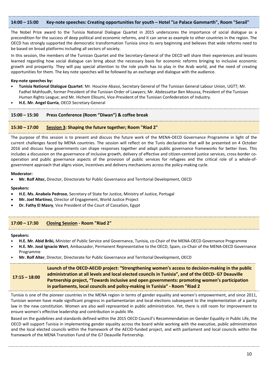## **14:00 – 15:00 Key-note speeches: Creating opportunities for youth – Hotel "Le Palace Gammarth", Room "Serail"**

The Nobel Prize award to the Tunisia National Dialogue Quartet in 2015 underscores the importance of social dialogue as a precondition for the success of deep political and economic reforms, and it can serve as example to other countries in the region. The OECD has strongly supported the democratic transformation Tunisia since its very beginning and believes that wide reforms need to be based on broad platforms including all sectors of society.

In this session, the members of the Tunisian Quartet and the Secretary-General of the OECD will share their experiences and lessons learned regarding how social dialogue can bring about the necessary basis for economic reforms bringing to inclusive economic growth and prosperity. They will pay special attention to the role youth has to play in the Arab world, and the need of creating opportunities for them. The key note speeches will be followed by an exchange and dialogue with the audience.

## **Key-note speeches by:**

- **Tunisia National Dialogue Quartet**: Mr. Houcine Abassi, Secretary General of The Tunisian General Labour Union, UGTT; Mr. Fadhel Mahfoudh, former President of the Tunisian Order of Lawyers; Mr. Abdessattar Ben Moussa, President of the Tunisian Human Rights League; and Mr. Hichem Elloumi, Vice-President of the Tunisian Confederation of Industry.
- **H.E. Mr. Angel Gurría**, OECD Secretary-General

## **15:00 – 15:30 Press Conference (Room "Diwan") & coffee break**

## **15:30 – 17:00 Session 3: Shaping the future together; Room "Riad 2"**

The purpose of this session is to present and discuss the future work of the MENA-OECD Governance Programme in light of the current challenges faced by MENA countries. The session will reflect on the Tunis declaration that will be presented on 4 October 2016 and discuss how governments can shape responses together and adapt public governance frameworks for better lives. This includes a discussion on the governance of inclusive growth, delivery of effective and citizen-centred justice services, cross-border cooperation and public governance aspects of the provision of public services for refugees and the critical role of a whole-ofgovernment approach that aligns vision, incentives and delivery mechanisms across the policy-making cycle.

#### **Moderator:**

• **Mr. Rolf Alter,** Director, Directorate for Public Governance and Territorial Development, OECD

**Speakers:** 

- **H.E. Ms. Anabela Pedroso**, Secretary of State for Justice, Ministry of Justice, Portugal
- **Mr. Joel Martinez**, Director of Engagement, World Justice Project
- **Dr. Fathy El Masry**, Vice President of the Court of Cassation, Egypt

## **17:00 – 17:30 Closing Session - Room "Riad 2"**

#### **Speakers:**

- **H.E. Mr. Abid Briki,** Minister of Public Service and Governance, Tunisia, co-Chair of the MENA-OECD Governance Programme
- **H.E. Mr. José Ignacio Wert**, Ambassador, Permanent Representative to the OECD, Spain, co-Chair of the MENA-OECD Governance Programme
- **Mr. Rolf Alter**, Director, Directorate for Public Governance and Territorial Development, OECD

#### **17:15 – 18:00 Launch of the OECD-AECID project: "Strengthening women's access to decision-making in the public administration at all levels and local elected councils in Tunisia", and of the OECD- G7 Deauville Partnership project, "Towards inclusive and open governments: promoting women's participation in parliaments, local councils and policy-making in Tunisia" - Room "Riad 2**

Tunisia is one of the pioneer countries in the MENA region in terms of gender equality and women's empowerment, and since 2011, Tunisian women have made significant progress in parliamentarian and local elections subsequent to the implementation of a parity law in the new constitution. Women are also well represented in public administration. Yet, there is still room for improvement to ensure women's effective leadership and contribution in public life.

Based on the guidelines and standards defined within the 2015 OECD Council's Recommendation on Gender Equality in Public Life, the OECD will support Tunisia in implementing gender equality across the board while working with the executive, public administration and the local elected councils within the framework of the AECID-funded project, and with parliament and local councils within the framework of the MENA Transition Fund of the G7 Deauville Partnership.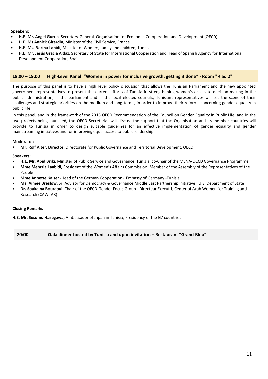## **Speakers:**

- **H.E. Mr. Angel Gurría**, Secretary-General, Organisation for Economic Co-operation and Development (OECD)
- **H.E. Ms Annick Girardin**, Minister of the Civil Service, France
- **H.E. Ms. Neziha Labidi,** Minister of Women, family and children, Tunisia
- **H.E. Mr. Jesús Gracia Aldaz**, Secretary of State for International Cooperation and Head of Spanish Agency for International Development Cooperation, Spain

## **18:00 – 19:00 High-Level Panel: "Women in power for inclusive growth: getting it done" - Room "Riad 2"**

The purpose of this panel is to have a high level policy discussion that allows the Tunisian Parliament and the new appointed government representatives to present the current efforts of Tunisia in strengthening women's access to decision making in the public administration, in the parliament and in the local elected councils; Tunisians representatives will set the scene of their challenges and strategic priorities on the medium and long terms, in order to improve their reforms concerning gender equality in public life.

In this panel, and in the framework of the 2015 OECD Recommendation of the Council on Gender Equality in Public Life, and in the two projects being launched, the OECD Secretariat will discuss the support that the Organisation and its member countries will provide to Tunisia in order to design suitable guidelines for an effective implementation of gender equality and gender mainstreaming initiatives and for improving equal access to public leadership

## **Moderator:**

**• Mr. Rolf Alter, Director,** Directorate for Public Governance and Territorial Development, OECD

## **Speakers:**

- **H.E. Mr. Abid Briki,** Minister of Public Service and Governance, Tunisia, co-Chair of the MENA-OECD Governance Programme
- **Mme Mehrzia Laabidi,** President of the Women's Affairs Commission, Member of the Assembly of the Representatives of the People
- **Mme Annette Kaiser -**Head of the German Cooperation- Embassy of Germany -Tunisia
- **Ms. Aimee Breslow,** Sr. Advisor for Democracy & Governance Middle East Partnership Initiative U.S. Department of State
- **Dr. Soukaina Bouraoui**, Chair of the OECD Gender Focus Group Directeur Executif, Center of Arab Women for Training and Research (CAWTAR)

## **Closing Remarks**

**H.E. Mr. Susumu Hasegawa,** Ambassador of Japan in Tunisia, Presidency of the G7 countries

**20:00 Gala dinner hosted by Tunisia and upon invitation – Restaurant "Grand Bleu"**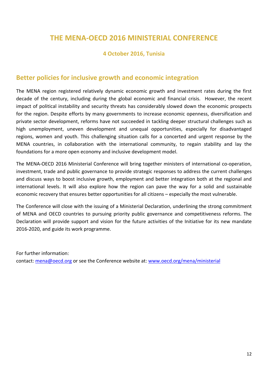## **THE MENA-OECD 2016 MINISTERIAL CONFERENCE**

## **4 October 2016, Tunisia**

## **Better policies for inclusive growth and economic integration**

The MENA region registered relatively dynamic economic growth and investment rates during the first decade of the century, including during the global economic and financial crisis. However, the recent impact of political instability and security threats has considerably slowed down the economic prospects for the region. Despite efforts by many governments to increase economic openness, diversification and private sector development, reforms have not succeeded in tackling deeper structural challenges such as high unemployment, uneven development and unequal opportunities, especially for disadvantaged regions, women and youth. This challenging situation calls for a concerted and urgent response by the MENA countries, in collaboration with the international community, to regain stability and lay the foundations for a more open economy and inclusive development model.

The MENA-OECD 2016 Ministerial Conference will bring together ministers of international co-operation, investment, trade and public governance to provide strategic responses to address the current challenges and discuss ways to boost inclusive growth, employment and better integration both at the regional and international levels. It will also explore how the region can pave the way for a solid and sustainable economic recovery that ensures better opportunities for all citizens – especially the most vulnerable.

The Conference will close with the issuing of a Ministerial Declaration, underlining the strong commitment of MENA and OECD countries to pursuing priority public governance and competitiveness reforms. The Declaration will provide support and vision for the future activities of the Initiative for its new mandate 2016-2020, and guide its work programme.

For further information: contact: [mena@oecd.org](mailto:mena@oecd.org) or see the Conference website at: [www.oecd.org/mena/ministerial](http://www.oecd.org/mena/ministerial)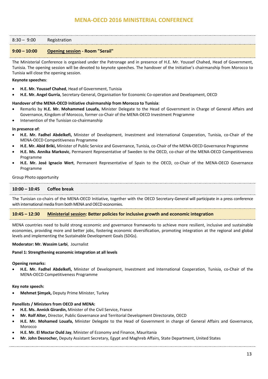## **MENA-OECD 2016 MINISTERIAL CONFERENCE**

| $8:30 - 9:00$ | Registration |
|---------------|--------------|
|---------------|--------------|

## **9:00 – 10:00 Opening session - Room "Serail"**

The Ministerial Conference is organised under the Patronage and in presence of H.E. Mr. Youssef Chahed, Head of Government, Tunisia. The opening session will be devoted to keynote speeches. The handover of the Initiative's chairmanship from Morocco to Tunisia will close the opening session.

#### **Keynote speeches**:

- **H.E. Mr. Youssef Chahed**, Head of Government, Tunisia
- **H.E. Mr. Angel Gurría**, Secretary-General, Organisation for Economic Co-operation and Development, OECD

## **Handover of the MENA-OECD Initiative chairmanship from Morocco to Tunisia**:

- Remarks by **H.E. Mr. Mohammed Louafa,** Minister Delegate to the Head of Government in Charge of General Affairs and Governance, Kingdom of Morocco, former co-Chair of the MENA-OECD Investment Programme
- Intervention of the Tunisian co-chairmanship

#### **In presence of**:

- **H.E. Mr. Fadhel Abdelkefi,** Minister of Development, Investment and International Cooperation, Tunisia, co-Chair of the MENA-OECD Competitiveness Programme
- **H.E. Mr. Abid Briki,** Minister of Public Service and Governance, Tunisia, co-Chair of the MENA-OECD Governance Programme
- **H.E. Ms. Annika Markovic**, Permanent Representative of Sweden to the OECD, co-chair of the MENA-OECD Competitiveness Programme
- **H.E. Mr. José Ignacio Wert**, Permanent Representative of Spain to the OECD, co-Chair of the MENA-OECD Governance Programme

#### Group Photo opportunity

## **10:00 – 10:45 Coffee break**

The Tunisian co-chairs of the MENA-OECD Initiative, together with the OECD Secretary-General will participate in a press conference with international media from both MENA and OECD economies.

## **10:45 – 12:30 Ministerial session: Better policies for inclusive growth and economic integration**

MENA countries need to build strong economic and governance frameworks to achieve more resilient, inclusive and sustainable economies, providing more and better jobs, fostering economic diversification, promoting integration at the regional and global levels and implementing the Sustainable Development Goals (SDGs).

#### **Moderator: Mr. Wassim Larbi**, Journalist

#### **Panel 1: Strengthening economic integration at all levels**

#### **Opening remarks:**

• **H.E. Mr. Fadhel Abdelkefi,** Minister of Development, Investment and International Cooperation, Tunisia, co-Chair of the MENA-OECD Competitiveness Programme

#### **Key note speech:**

• **Mehmet Şimşek,** Deputy Prime Minister, Turkey

## **Panellists / Ministers from OECD and MENA:**

- **H.E. Ms. Annick Girardin,** Minister of the Civil Service, France
- **Mr. Rolf Alter,** Director, Public Governance and Territorial Development Directorate, OECD
- **H.E. Mr. Mohamed Louafa,** Minister Delegate to the Head of Government in charge of General Affairs and Governance, Morocco
- **H.E. Mr. El Moctar Ould Jay**, Minister of Economy and Finance, Mauritania
- **Mr. John Desrocher,** Deputy Assistant Secretary, Egypt and Maghreb Affairs, State Department, United States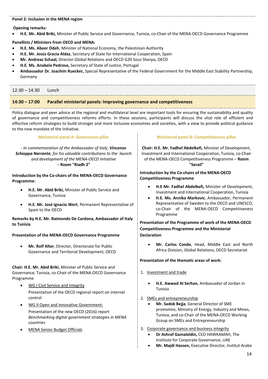## **Panel 2: Inclusion in the MENA region**

**Opening remarks:** 

• **H.E. Mr. Abid Briki,** Minister of Public Service and Governance, Tunisia, co-Chair of the MENA-OECD Governance Programme

## **Panellists / Ministers from OECD and MENA:**

- **H.E. Ms. Abeer Odeh**, Minister of National Economy, the Palestinian Authority
- **H.E. Mr. Jesús Gracia Aldaz**, Secretary of State for International Cooperation, Spain
- **Mr. Andreas Schaal,** Director Global Relations and OECD G20 Sous Sherpa, OECD
- **H.E. Ms. Anabela Pedroso,** Secretary of State of Justice, Portugal
- **Ambassador Dr. Joachim Ruecker,** Special Representative of the Federal Government for the Middle East Stability Partnership, Germany

# 12:30 – 14:30 Lunch

## **14:30 – 17:00 Parallel ministerial panels: Improving governance and competitiveness**

Policy dialogue and peer advice at the regional and multilateral level are important tools for ensuring the sustainability and quality of governance and competitiveness reforms efforts. In these sessions, participants will discuss the vital role of efficient and effective reform strategies to build stronger and more inclusive economies and societies, with a view to provide political guidance to the new mandate of the Initiative.

## **Ministerial panel A: Governance pillar**

*- In commemoration of the Ambassador of Italy, Vincenzo Schioppa Narrante, for his valuable contributions to the launch and development of the MENA-OECD Initiative*  – **Room "Riadh 2"**

**Introduction by the Co-chairs of the MENA-OECD Governance Programme:**

- **H.E. Mr. Abid Briki,** Minister of Public Service and Governance, Tunisia
- **H.E. Mr. José Ignacio Wert**, Permanent Representative of Spain to the OECD

**Remarks by H.E. Mr. Raimondo De Cardona, Ambassador of Italy to Tunisia**

## **Presentation of the MENA-OECD Governance Programme**

• **Mr. Rolf Alter**, Director, Directorate for Public Governance and Territorial Development, OECD

**Chair: H.E. Mr. Abid Briki,** Minister of Public Service and Governance, Tunisia, co-Chair of the MENA-OECD Governance Programme

- WG I Civil Service and Integrity Presentation of the OECD regional report on internal control
- WG II Open and Innovative Government: Presentation of the new OECD (2016) report *Benchmarking digital government strategies in MENA countries*
- MENA Senior Budget Officials

## **Ministerial panel B: Competitiveness pillar**

**Chair: H.E. Mr. Fadhel Abdelkefi,** Minister of Development, Investment and International Cooperation, Tunisia, co-Chair of the MENA-OECD Competitiveness Programme – **Room "Serail"**

## **Introduction by the Co-chairs of the MENA-OECD Competitiveness Programme**

- **H.E Mr. Fadhel Abdelkefi,** Minister of Development, Investment and International Cooperation, Tunisia
- **H.E. Ms. Annika Markovic**, Ambassador, Permanent Representative of Sweden to the OECD and UNESCO, co-Chair of the MENA-OECD Competitiveness Programme

**Presentation of the Programme of work of the MENA-OECD Competitiveness Programme and the Ministerial Declaration**

• **Mr. Carlos Conde**, Head, Middle East and North Africa Division, Global Relations, OECD Secretariat

## **Presentation of the thematic areas of work:**

- 1. Investment and trade
	- **H.E. Awwad Al Serhan**, Ambassador of Jordan in Tunisia
- 2. SMEs and entrepreneurship
	- **Mr. Sadok Bejja**, General Director of SME promotion, Ministry of Energy, Industry and Mines, Tunisia, and co-Chair of the MENA-OECD Working Group on SMEs and Entrepreneurship
- 3. Corporate governance and business integrity
	- **Dr Ashraf Gamaleldin,** CEO HAWKAMAH, The Institute for Corporate Governance, UAE
	- **Mr. Majdi Hassen,** Executive Director, Institut Arabe